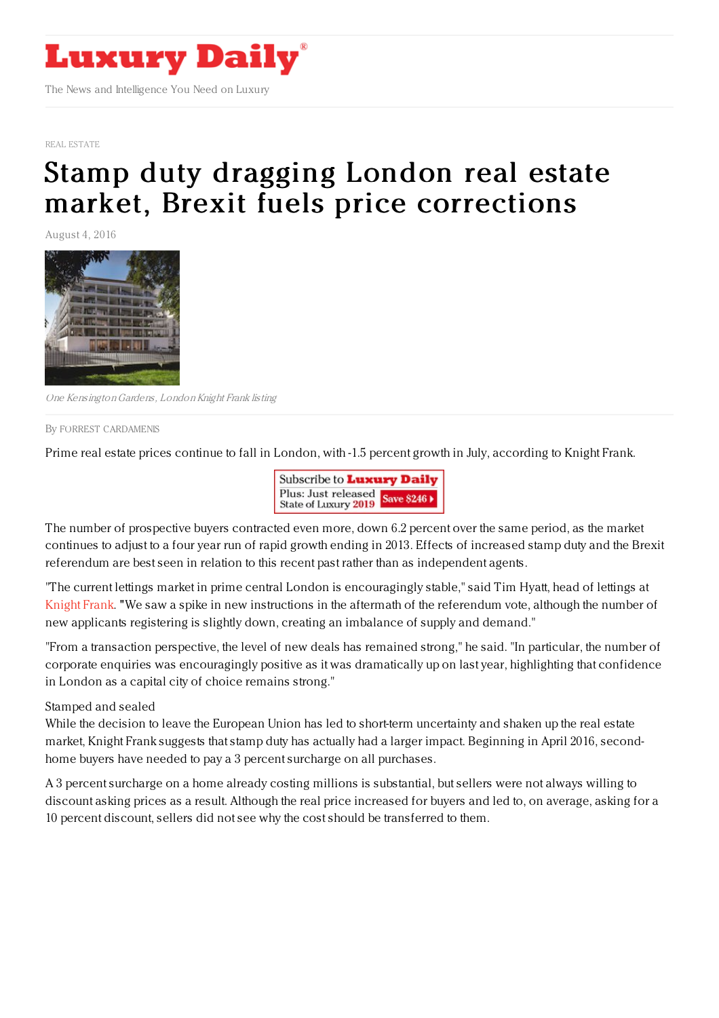

## REAL [ESTATE](https://www.luxurydaily.com/category/sectors/real-estate/)

## Stamp duty dragging London real estate market, Brexit fuels price [corrections](https://www.luxurydaily.com/stamp-duty-dragging-london-real-estate-market-brexit-fuels-price-corrections/)

August 4, 2016



One KensingtonGardens, LondonKnight Frank listing

By FORREST [CARDAMENIS](file:///author/forrest-cardamenis)

Prime real estate prices continue to fall in London, with -1.5 percent growth in July, according to Knight Frank.



The number of prospective buyers contracted even more, down 6.2 percent over the same period, as the market continues to adjust to a four year run of rapid growth ending in 2013. Effects of increased stamp duty and the Brexit referendum are best seen in relation to this recent past rather than as independent agents.

"The current lettings market in prime central London is encouragingly stable," said Tim Hyatt, head of lettings at [Knight](http://www.knightfrank.com/) Frank. "We saw a spike in new instructions in the aftermath of the referendum vote, although the number of new applicants registering is slightly down, creating an imbalance of supply and demand."

"From a transaction perspective, the level of new deals has remained strong," he said. "In particular, the number of corporate enquiries was encouragingly positive as it was dramatically up on last year, highlighting that confidence in London as a capital city of choice remains strong."

Stamped and sealed

While the decision to leave the European Union has led to short-term uncertainty and shaken up the real estate market, Knight Frank suggests that stamp duty has actually had a larger impact. Beginning in April 2016, secondhome buyers have needed to pay a 3 percent surcharge on all purchases.

A 3 percent surcharge on a home already costing millions is substantial, but sellers were not always willing to discount asking prices as a result. Although the real price increased for buyers and led to, on average, asking for a 10 percent discount, sellers did not see why the cost should be transferred to them.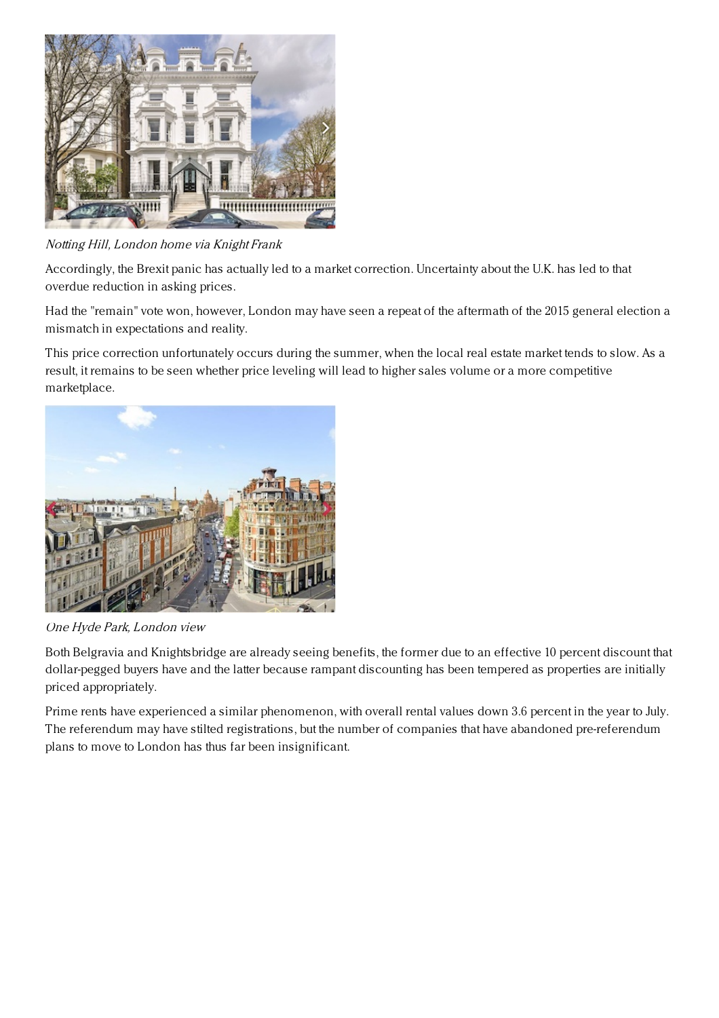

Notting Hill, London home via Knight Frank

Accordingly, the Brexit panic has actually led to a market correction. Uncertainty about the U.K. has led to that overdue reduction in asking prices.

Had the "remain" vote won, however, London may have seen a repeat of the aftermath of the 2015 general election a mismatch in expectations and reality.

This price correction unfortunately occurs during the summer, when the local real estate market tends to slow. As a result, it remains to be seen whether price leveling will lead to higher sales volume or a more competitive marketplace.



One Hyde Park, London view

Both Belgravia and Knightsbridge are already seeing benefits, the former due to an effective 10 percent discount that dollar-pegged buyers have and the latter because rampant discounting has been tempered as properties are initially priced appropriately.

Prime rents have experienced a similar phenomenon, with overall rental values down 3.6 percent in the year to July. The referendum may have stilted registrations, but the number of companies that have abandoned pre-referendum plans to move to London has thus far been insignificant.